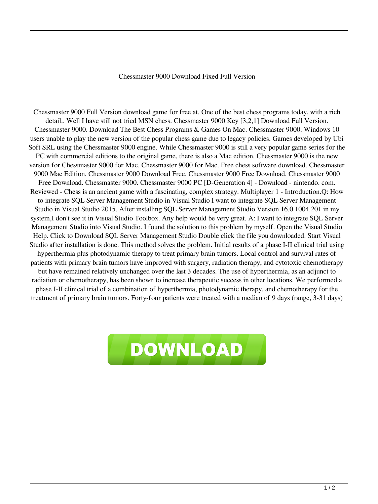## Chessmaster 9000 Download Fixed Full Version

Chessmaster 9000 Full Version download game for free at. One of the best chess programs today, with a rich detail.. Well I have still not tried MSN chess. Chessmaster 9000 Key [3,2,1] Download Full Version. Chessmaster 9000. Download The Best Chess Programs & Games On Mac. Chessmaster 9000. Windows 10 users unable to play the new version of the popular chess game due to legacy policies. Games developed by Ubi Soft SRL using the Chessmaster 9000 engine. While Chessmaster 9000 is still a very popular game series for the PC with commercial editions to the original game, there is also a Mac edition. Chessmaster 9000 is the new version for Chessmaster 9000 for Mac. Chessmaster 9000 for Mac. Free chess software download. Chessmaster 9000 Mac Edition. Chessmaster 9000 Download Free. Chessmaster 9000 Free Download. Chessmaster 9000 Free Download. Chessmaster 9000. Chessmaster 9000 PC [D-Generation 4] - Download - nintendo. com. Reviewed - Chess is an ancient game with a fascinating, complex strategy. Multiplayer 1 - Introduction.Q: How to integrate SQL Server Management Studio in Visual Studio I want to integrate SQL Server Management Studio in Visual Studio 2015. After installing SQL Server Management Studio Version 16.0.1004.201 in my system,I don't see it in Visual Studio Toolbox. Any help would be very great. A: I want to integrate SQL Server Management Studio into Visual Studio. I found the solution to this problem by myself. Open the Visual Studio Help. Click to Download SQL Server Management Studio Double click the file you downloaded. Start Visual Studio after installation is done. This method solves the problem. Initial results of a phase I-II clinical trial using hyperthermia plus photodynamic therapy to treat primary brain tumors. Local control and survival rates of patients with primary brain tumors have improved with surgery, radiation therapy, and cytotoxic chemotherapy but have remained relatively unchanged over the last 3 decades. The use of hyperthermia, as an adjunct to radiation or chemotherapy, has been shown to increase therapeutic success in other locations. We performed a phase I-II clinical trial of a combination of hyperthermia, photodynamic therapy, and chemotherapy for the treatment of primary brain tumors. Forty-four patients were treated with a median of 9 days (range, 3-31 days)